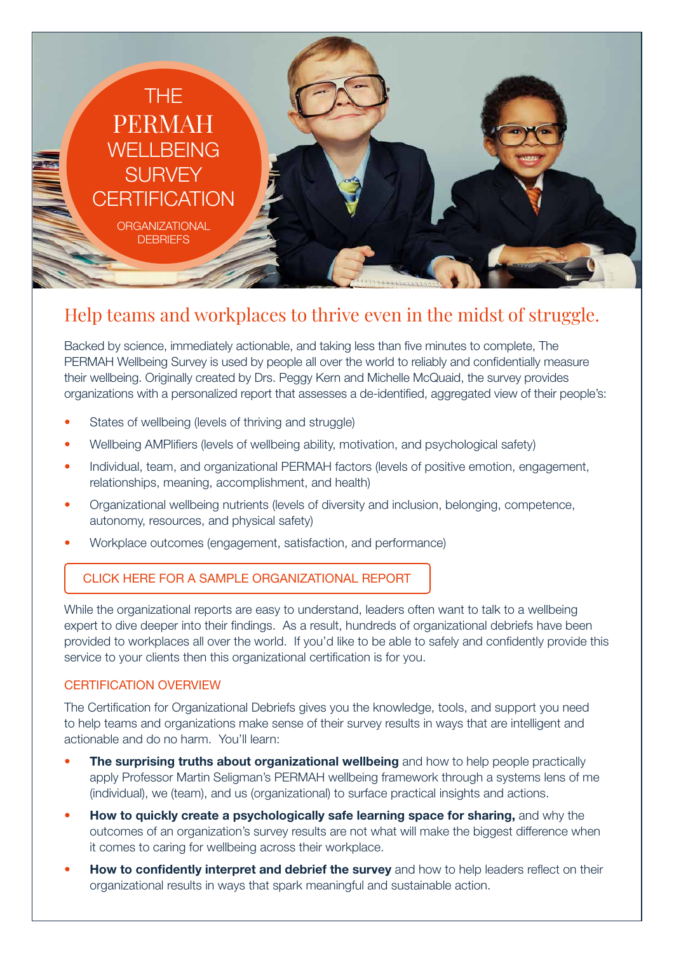

# Help teams and workplaces to thrive even in the midst of struggle.

Backed by science, immediately actionable, and taking less than five minutes to complete, The PERMAH Wellbeing Survey is used by people all over the world to reliably and confidentially measure their wellbeing. Originally created by Drs. Peggy Kern and Michelle McQuaid, the survey provides organizations with a personalized report that assesses a de-identified, aggregated view of their people's:

- States of wellbeing (levels of thriving and struggle)
- Wellbeing AMPlifiers (levels of wellbeing ability, motivation, and psychological safety)
- Individual, team, and organizational PERMAH factors (levels of positive emotion, engagement, relationships, meaning, accomplishment, and health)
- Organizational wellbeing nutrients (levels of diversity and inclusion, belonging, competence, autonomy, resources, and physical safety)
- Workplace outcomes (engagement, satisfaction, and performance)

### CLICK HERE FOR A SAMPLE ORGANIZATIONAL REPORT

While the organizational reports are easy to understand, leaders often want to talk to a wellbeing expert to dive deeper into their findings. As a result, hundreds of organizational debriefs have been provided to workplaces all over the world. If you'd like to be able to safely and confidently provide this service to your clients then this organizational certification is for you.

#### CERTIFICATION OVERVIEW

The Certification for Organizational Debriefs gives you the knowledge, tools, and support you need to help teams and organizations make sense of their survey results in ways that are intelligent and actionable and do no harm. You'll learn:

- The surprising truths about organizational wellbeing and how to help people practically apply Professor Martin Seligman's PERMAH wellbeing framework through a systems lens of me (individual), we (team), and us (organizational) to surface practical insights and actions.
- **How to quickly create a psychologically safe learning space for sharing, and why the** outcomes of an organization's survey results are not what will make the biggest difference when it comes to caring for wellbeing across their workplace.
- **How to confidently interpret and debrief the survey** and how to help leaders reflect on their organizational results in ways that spark meaningful and sustainable action.